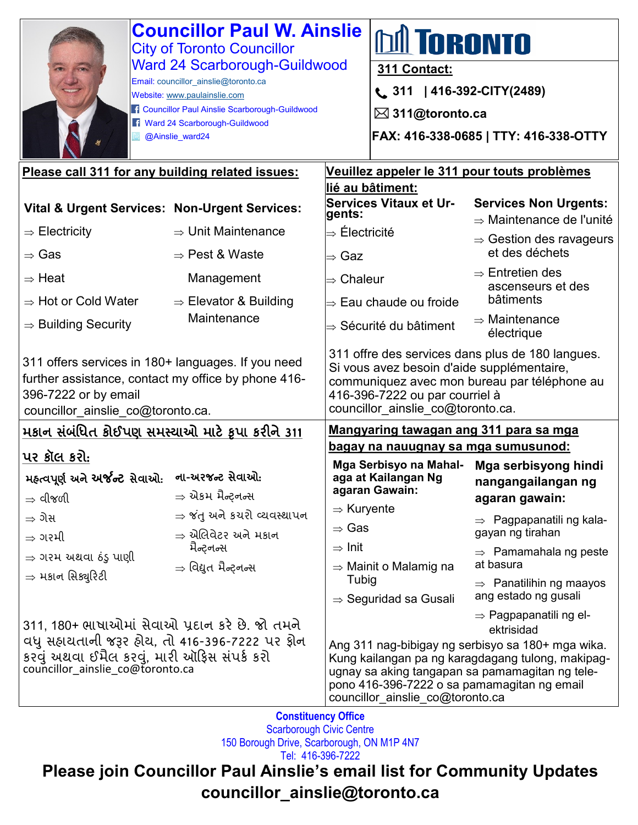| <b>Councillor Paul W. Ainslie</b><br><b>City of Toronto Councillor</b><br><b>Ward 24 Scarborough-Guildwood</b><br>Email: councillor_ainslie@toronto.ca<br>Website: www.paulainslie.com<br><b>1 Councillor Paul Ainslie Scarborough-Guildwood</b><br><b>Fi</b> Ward 24 Scarborough-Guildwood<br>@Ainslie_ward24 |                                                              |                                                                                                                                                                                                                                              | <b>MI TORONTO</b><br>311 Contact:<br>$\bigcup$ 311   416-392-CITY(2489)<br>$\boxtimes$ 311@toronto.ca                               | FAX: 416-338-0685   TTY: 416-338-OTTY                                |  |
|----------------------------------------------------------------------------------------------------------------------------------------------------------------------------------------------------------------------------------------------------------------------------------------------------------------|--------------------------------------------------------------|----------------------------------------------------------------------------------------------------------------------------------------------------------------------------------------------------------------------------------------------|-------------------------------------------------------------------------------------------------------------------------------------|----------------------------------------------------------------------|--|
| Please call 311 for any building related issues:                                                                                                                                                                                                                                                               |                                                              | Veuillez appeler le 311 pour touts problèmes                                                                                                                                                                                                 |                                                                                                                                     |                                                                      |  |
| Vital & Urgent Services: Non-Urgent Services:                                                                                                                                                                                                                                                                  |                                                              | gents:                                                                                                                                                                                                                                       | lié au bâtiment:<br><b>Services Vitaux et Ur-</b>                                                                                   | <b>Services Non Urgents:</b><br>$\Rightarrow$ Maintenance de l'unité |  |
| $\Rightarrow$ Electricity<br>$\Rightarrow$ Gas                                                                                                                                                                                                                                                                 | $\Rightarrow$ Unit Maintenance<br>$\Rightarrow$ Pest & Waste | $\Rightarrow \mathsf{\acute{E}}$ lectricité<br>⇒ Gaz                                                                                                                                                                                         |                                                                                                                                     | $\Rightarrow$ Gestion des ravageurs<br>et des déchets                |  |
| $\Rightarrow$ Heat<br>$\Rightarrow$ Hot or Cold Water                                                                                                                                                                                                                                                          | Management<br>$\Rightarrow$ Elevator & Building              |                                                                                                                                                                                                                                              | $\Rightarrow$ Entretien des<br>$\Rightarrow$ Chaleur<br>ascenseurs et des<br><b>bâtiments</b><br>$\Rightarrow$ Eau chaude ou froide |                                                                      |  |
| $\Rightarrow$ Building Security                                                                                                                                                                                                                                                                                | Maintenance                                                  |                                                                                                                                                                                                                                              | $\Rightarrow$ Sécurité du bâtiment                                                                                                  | $\Rightarrow$ Maintenance<br>électrique                              |  |
| 311 offers services in 180+ languages. If you need<br>further assistance, contact my office by phone 416-<br>396-7222 or by email<br>councillor_ainslie_co@toronto.ca.                                                                                                                                         |                                                              | 311 offre des services dans plus de 180 langues.<br>Si vous avez besoin d'aide supplémentaire,<br>communiquez avec mon bureau par téléphone au<br>416-396-7222 ou par courriel à<br>councillor_ainslie_co@toronto.ca.                        |                                                                                                                                     |                                                                      |  |
| મકાન સંબંધિત કોઈપણ સમસ્યાઓ માટે કૃપા કરીને 311                                                                                                                                                                                                                                                                 |                                                              | Mangyaring tawagan ang 311 para sa mga                                                                                                                                                                                                       |                                                                                                                                     |                                                                      |  |
| પર ક્રૉલ કરો:                                                                                                                                                                                                                                                                                                  |                                                              | <u>bagay na nauugnay sa mga sumusunod:</u>                                                                                                                                                                                                   |                                                                                                                                     |                                                                      |  |
| મહ્ત્વપૂર્ણ અને અર્જન્ટ સેવાઓ: ના-અરજન્ટ સેવાઓ:<br>⇒ વીજળી                                                                                                                                                                                                                                                     | $\Rightarrow$ એકમ મૈન્ટનન્સ                                  |                                                                                                                                                                                                                                              | Mga Serbisyo na Mahal-<br>aga at Kailangan Ng<br>agaran Gawain:                                                                     | Mga serbisyong hindi<br>nangangailangan ng<br>agaran gawain:         |  |
| $\Rightarrow$ ગેસ                                                                                                                                                                                                                                                                                              | $\Rightarrow$ જંતુ અને કચરો વ્યવસ્થાપન                       | $\Rightarrow$ Kuryente                                                                                                                                                                                                                       |                                                                                                                                     | $\Rightarrow$ Pagpapanatili ng kala-                                 |  |
| $\Rightarrow$ ગરમી                                                                                                                                                                                                                                                                                             | $\Rightarrow$ એલિવેટર અને મકાન                               | $\Rightarrow$ Gas                                                                                                                                                                                                                            |                                                                                                                                     | gayan ng tirahan                                                     |  |
| $\Rightarrow$ ગરમ અથવા ઠંડુ પાણી                                                                                                                                                                                                                                                                               | મૈન્ટનન્સ                                                    | $\Rightarrow$ Init                                                                                                                                                                                                                           |                                                                                                                                     | $\Rightarrow$ Pamamahala ng peste                                    |  |
| $\Rightarrow$ મકાન સિક્યુરિટી                                                                                                                                                                                                                                                                                  | ⇒ વિદ્યુત મૈન્ટ્નન્સ                                         | Tubig                                                                                                                                                                                                                                        | $\Rightarrow$ Mainit o Malamig na                                                                                                   | at basura                                                            |  |
|                                                                                                                                                                                                                                                                                                                |                                                              |                                                                                                                                                                                                                                              | $\Rightarrow$ Seguridad sa Gusali                                                                                                   | $\Rightarrow$ Panatilihin ng maayos<br>ang estado ng gusali          |  |
| 311, 180+ ભાષાઓમાં સેવાઓ પ્રદાન કરે છે. જો તમને                                                                                                                                                                                                                                                                |                                                              |                                                                                                                                                                                                                                              |                                                                                                                                     | $\Rightarrow$ Pagpapanatili ng el-<br>ektrisidad                     |  |
| વધુ સહ્રાયતાની જરૂર હોય, તો 416-396-7222 પર ફોન<br>કરવું અથવા ઈમૈલ કરવું, મારી ઑફિસ સંપર્ક કરો<br>councillor_ainslie_co@toronto.ca                                                                                                                                                                             |                                                              | Ang 311 nag-bibigay ng serbisyo sa 180+ mga wika.<br>Kung kailangan pa ng karagdagang tulong, makipag-<br>ugnay sa aking tangapan sa pamamagitan ng tele-<br>pono 416-396-7222 o sa pamamagitan ng email<br>councillor_ainslie_co@toronto.ca |                                                                                                                                     |                                                                      |  |
| Constituency Office                                                                                                                                                                                                                                                                                            |                                                              |                                                                                                                                                                                                                                              |                                                                                                                                     |                                                                      |  |

**Constituency Office** Scarborough Civic Centre 150 Borough Drive, Scarborough, ON M1P 4N7 Tel: 416-396-7222

**Please join Councillor Paul Ainslie's email list for Community Updates c[ouncillor\\_ainslie@toronto.ca](mailto:Councillo_Ainslie@toronto.ca)**